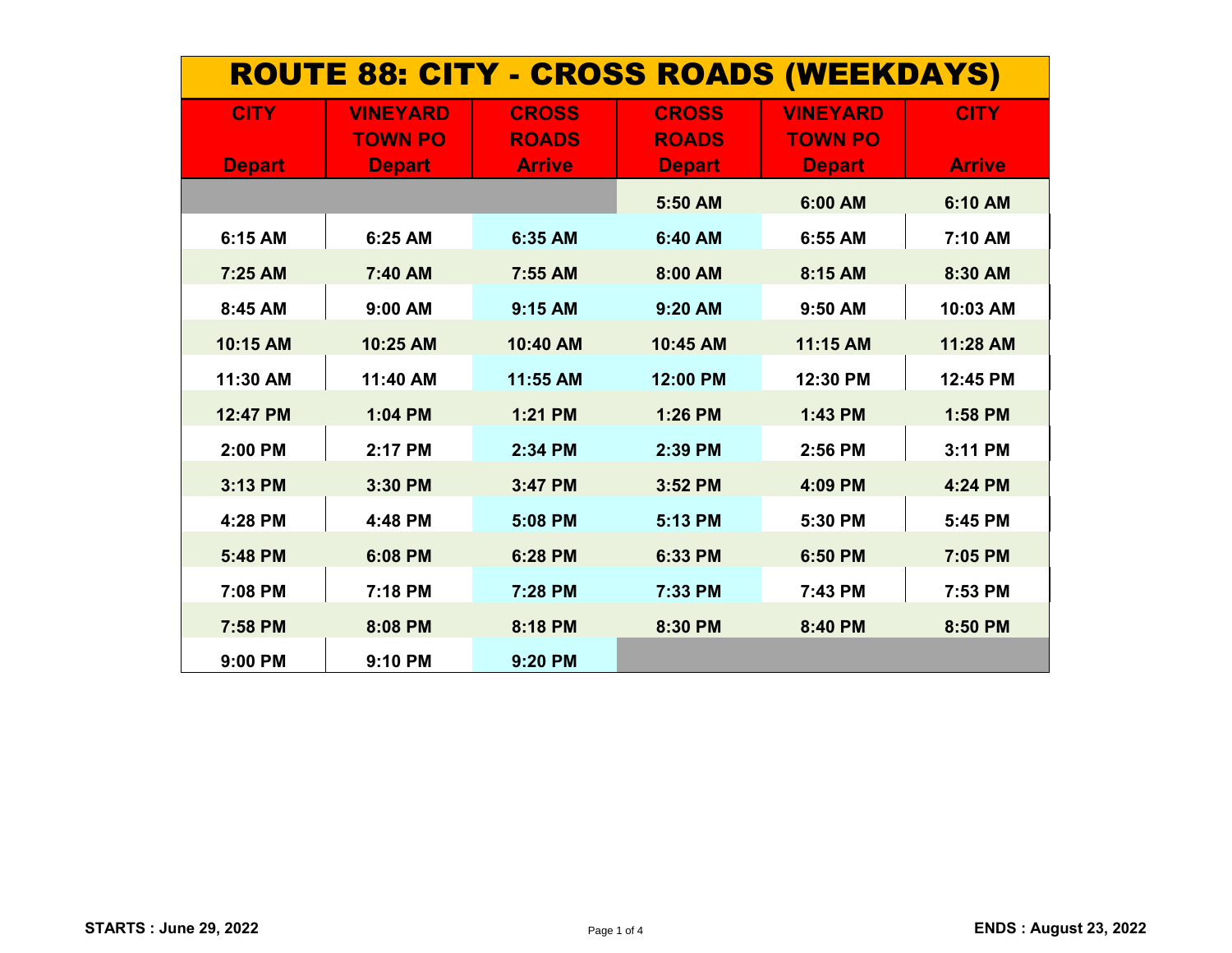| <b>ROUTE 88: CITY - CROSS ROADS (WEEKDAYS)</b> |                 |               |               |                 |               |
|------------------------------------------------|-----------------|---------------|---------------|-----------------|---------------|
| <b>CITY</b>                                    | <b>VINEYARD</b> | <b>CROSS</b>  | <b>CROSS</b>  | <b>VINEYARD</b> | <b>CITY</b>   |
|                                                | <b>TOWN PO</b>  | <b>ROADS</b>  | <b>ROADS</b>  | <b>TOWN PO</b>  |               |
| <b>Depart</b>                                  | <b>Depart</b>   | <b>Arrive</b> | <b>Depart</b> | <b>Depart</b>   | <b>Arrive</b> |
|                                                |                 |               | 5:50 AM       | 6:00 AM         | 6:10 AM       |
| 6:15 AM                                        | 6:25 AM         | 6:35 AM       | 6:40 AM       | 6:55 AM         | 7:10 AM       |
| 7:25 AM                                        | 7:40 AM         | 7:55 AM       | 8:00 AM       | 8:15 AM         | 8:30 AM       |
| 8:45 AM                                        | 9:00 AM         | 9:15 AM       | 9:20 AM       | 9:50 AM         | 10:03 AM      |
| 10:15 AM                                       | 10:25 AM        | 10:40 AM      | 10:45 AM      | 11:15 AM        | 11:28 AM      |
| 11:30 AM                                       | 11:40 AM        | 11:55 AM      | 12:00 PM      | 12:30 PM        | 12:45 PM      |
| 12:47 PM                                       | 1:04 PM         | 1:21 PM       | 1:26 PM       | 1:43 PM         | 1:58 PM       |
| 2:00 PM                                        | 2:17 PM         | 2:34 PM       | 2:39 PM       | 2:56 PM         | 3:11 PM       |
| 3:13 PM                                        | 3:30 PM         | 3:47 PM       | 3:52 PM       | 4:09 PM         | 4:24 PM       |
| 4:28 PM                                        | 4:48 PM         | 5:08 PM       | 5:13 PM       | 5:30 PM         | 5:45 PM       |
| 5:48 PM                                        | 6:08 PM         | 6:28 PM       | 6:33 PM       | 6:50 PM         | 7:05 PM       |
| 7:08 PM                                        | 7:18 PM         | 7:28 PM       | 7:33 PM       | 7:43 PM         | 7:53 PM       |
| 7:58 PM                                        | 8:08 PM         | 8:18 PM       | 8:30 PM       | 8:40 PM         | 8:50 PM       |
| 9:00 PM                                        | 9:10 PM         | 9:20 PM       |               |                 |               |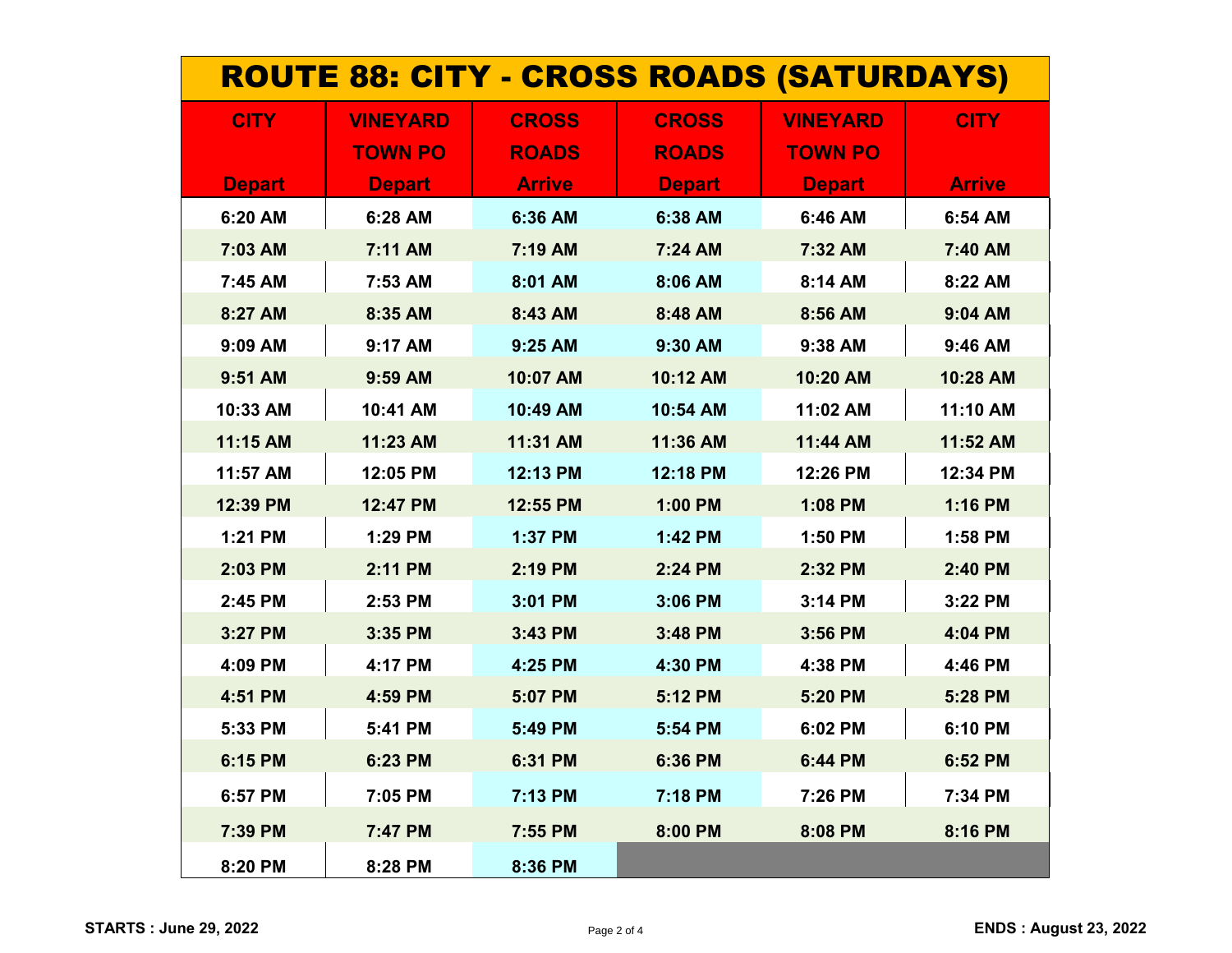| <b>ROUTE 88: CITY - CROSS ROADS (SATURDAYS)</b> |                 |               |               |                 |               |
|-------------------------------------------------|-----------------|---------------|---------------|-----------------|---------------|
| <b>CITY</b>                                     | <b>VINEYARD</b> | <b>CROSS</b>  | <b>CROSS</b>  | <b>VINEYARD</b> | <b>CITY</b>   |
|                                                 | <b>TOWN PO</b>  | <b>ROADS</b>  | <b>ROADS</b>  | <b>TOWN PO</b>  |               |
| <b>Depart</b>                                   | <b>Depart</b>   | <b>Arrive</b> | <b>Depart</b> | <b>Depart</b>   | <b>Arrive</b> |
| 6:20 AM                                         | 6:28 AM         | 6:36 AM       | 6:38 AM       | 6:46 AM         | 6:54 AM       |
| 7:03 AM                                         | 7:11 AM         | 7:19 AM       | 7:24 AM       | 7:32 AM         | 7:40 AM       |
| 7:45 AM                                         | 7:53 AM         | 8:01 AM       | 8:06 AM       | 8:14 AM         | 8:22 AM       |
| 8:27 AM                                         | 8:35 AM         | 8:43 AM       | 8:48 AM       | 8:56 AM         | 9:04 AM       |
| 9:09 AM                                         | 9:17 AM         | 9:25 AM       | 9:30 AM       | 9:38 AM         | 9:46 AM       |
| 9:51 AM                                         | 9:59 AM         | 10:07 AM      | 10:12 AM      | 10:20 AM        | 10:28 AM      |
| 10:33 AM                                        | 10:41 AM        | 10:49 AM      | 10:54 AM      | 11:02 AM        | 11:10 AM      |
| 11:15 AM                                        | 11:23 AM        | 11:31 AM      | 11:36 AM      | 11:44 AM        | 11:52 AM      |
| 11:57 AM                                        | 12:05 PM        | 12:13 PM      | 12:18 PM      | 12:26 PM        | 12:34 PM      |
| 12:39 PM                                        | 12:47 PM        | 12:55 PM      | 1:00 PM       | 1:08 PM         | 1:16 PM       |
| 1:21 PM                                         | 1:29 PM         | 1:37 PM       | 1:42 PM       | 1:50 PM         | 1:58 PM       |
| 2:03 PM                                         | 2:11 PM         | 2:19 PM       | 2:24 PM       | 2:32 PM         | 2:40 PM       |
| 2:45 PM                                         | 2:53 PM         | 3:01 PM       | 3:06 PM       | 3:14 PM         | 3:22 PM       |
| 3:27 PM                                         | 3:35 PM         | 3:43 PM       | 3:48 PM       | 3:56 PM         | 4:04 PM       |
| 4:09 PM                                         | 4:17 PM         | 4:25 PM       | 4:30 PM       | 4:38 PM         | 4:46 PM       |
| 4:51 PM                                         | 4:59 PM         | 5:07 PM       | 5:12 PM       | 5:20 PM         | 5:28 PM       |
| 5:33 PM                                         | 5:41 PM         | 5:49 PM       | 5:54 PM       | 6:02 PM         | 6:10 PM       |
| 6:15 PM                                         | 6:23 PM         | 6:31 PM       | 6:36 PM       | 6:44 PM         | 6:52 PM       |
| 6:57 PM                                         | 7:05 PM         | 7:13 PM       | 7:18 PM       | 7:26 PM         | 7:34 PM       |
| 7:39 PM                                         | 7:47 PM         | 7:55 PM       | 8:00 PM       | 8:08 PM         | 8:16 PM       |
| 8:20 PM                                         | 8:28 PM         | 8:36 PM       |               |                 |               |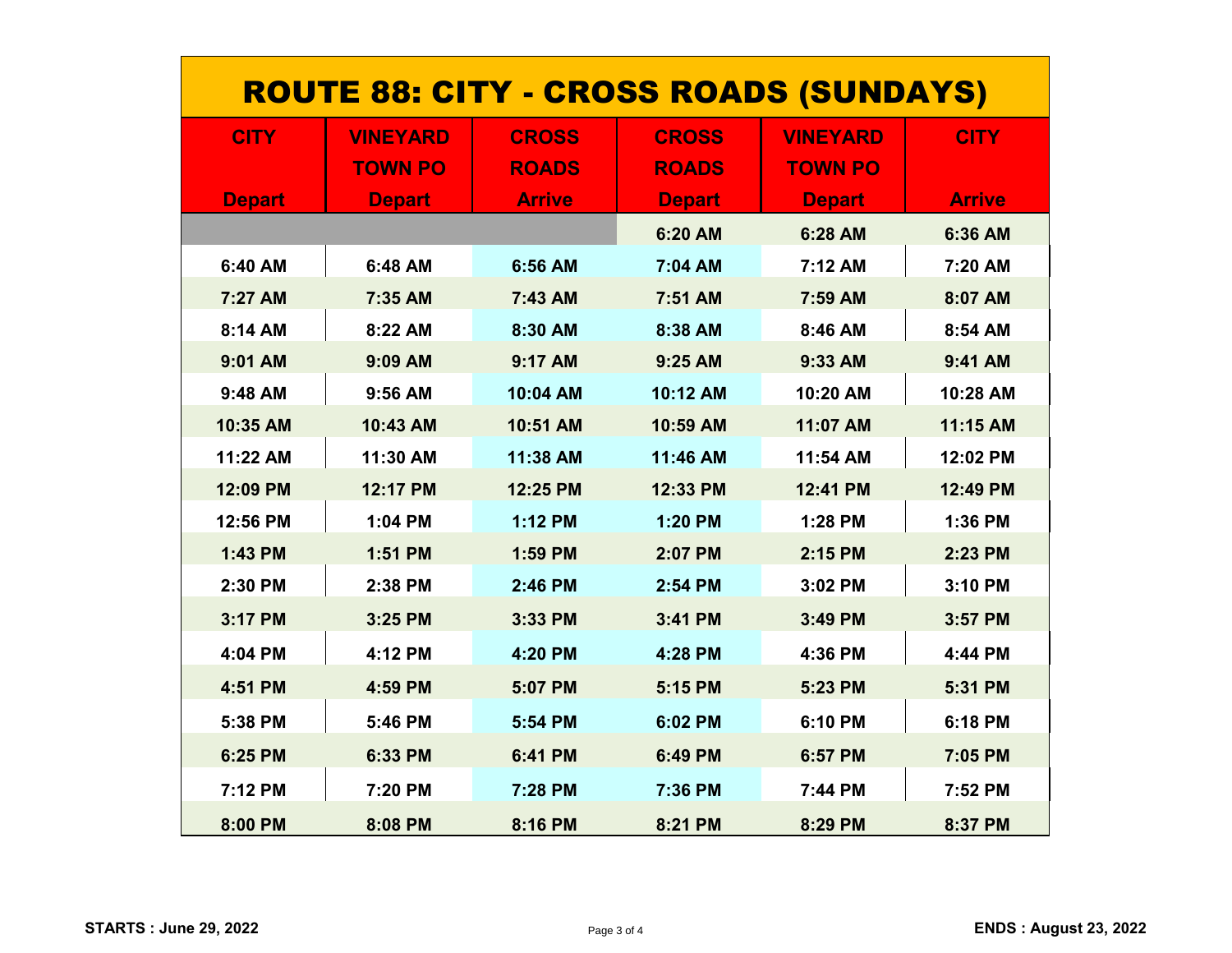| <b>ROUTE 88: CITY - CROSS ROADS (SUNDAYS)</b> |                 |                |               |                 |               |
|-----------------------------------------------|-----------------|----------------|---------------|-----------------|---------------|
| <b>CITY</b>                                   | <b>VINEYARD</b> | <b>CROSS</b>   | <b>CROSS</b>  | <b>VINEYARD</b> | <b>CITY</b>   |
|                                               | <b>TOWN PO</b>  | <b>ROADS</b>   | <b>ROADS</b>  | <b>TOWN PO</b>  |               |
| <b>Depart</b>                                 | <b>Depart</b>   | <b>Arrive</b>  | <b>Depart</b> | <b>Depart</b>   | <b>Arrive</b> |
|                                               |                 |                | 6:20 AM       | 6:28 AM         | 6:36 AM       |
| 6:40 AM                                       | 6:48 AM         | 6:56 AM        | 7:04 AM       | 7:12 AM         | 7:20 AM       |
| 7:27 AM                                       | 7:35 AM         | 7:43 AM        | 7:51 AM       | 7:59 AM         | 8:07 AM       |
| 8:14 AM                                       | 8:22 AM         | 8:30 AM        | 8:38 AM       | 8:46 AM         | 8:54 AM       |
| 9:01 AM                                       | 9:09 AM         | 9:17 AM        | 9:25 AM       | 9:33 AM         | 9:41 AM       |
| 9:48 AM                                       | 9:56 AM         | 10:04 AM       | 10:12 AM      | 10:20 AM        | 10:28 AM      |
| 10:35 AM                                      | 10:43 AM        | 10:51 AM       | 10:59 AM      | 11:07 AM        | 11:15 AM      |
| 11:22 AM                                      | 11:30 AM        | 11:38 AM       | 11:46 AM      | 11:54 AM        | 12:02 PM      |
| 12:09 PM                                      | 12:17 PM        | 12:25 PM       | 12:33 PM      | 12:41 PM        | 12:49 PM      |
| 12:56 PM                                      | 1:04 PM         | <b>1:12 PM</b> | 1:20 PM       | 1:28 PM         | 1:36 PM       |
| 1:43 PM                                       | 1:51 PM         | 1:59 PM        | 2:07 PM       | 2:15 PM         | 2:23 PM       |
| 2:30 PM                                       | 2:38 PM         | 2:46 PM        | 2:54 PM       | 3:02 PM         | 3:10 PM       |
| 3:17 PM                                       | 3:25 PM         | 3:33 PM        | 3:41 PM       | 3:49 PM         | 3:57 PM       |
| 4:04 PM                                       | 4:12 PM         | 4:20 PM        | 4:28 PM       | 4:36 PM         | 4:44 PM       |
| 4:51 PM                                       | 4:59 PM         | 5:07 PM        | 5:15 PM       | 5:23 PM         | 5:31 PM       |
| 5:38 PM                                       | 5:46 PM         | 5:54 PM        | 6:02 PM       | 6:10 PM         | 6:18 PM       |
| 6:25 PM                                       | 6:33 PM         | 6:41 PM        | 6:49 PM       | 6:57 PM         | 7:05 PM       |
| 7:12 PM                                       | 7:20 PM         | 7:28 PM        | 7:36 PM       | 7:44 PM         | 7:52 PM       |
| 8:00 PM                                       | 8:08 PM         | 8:16 PM        | 8:21 PM       | 8:29 PM         | 8:37 PM       |